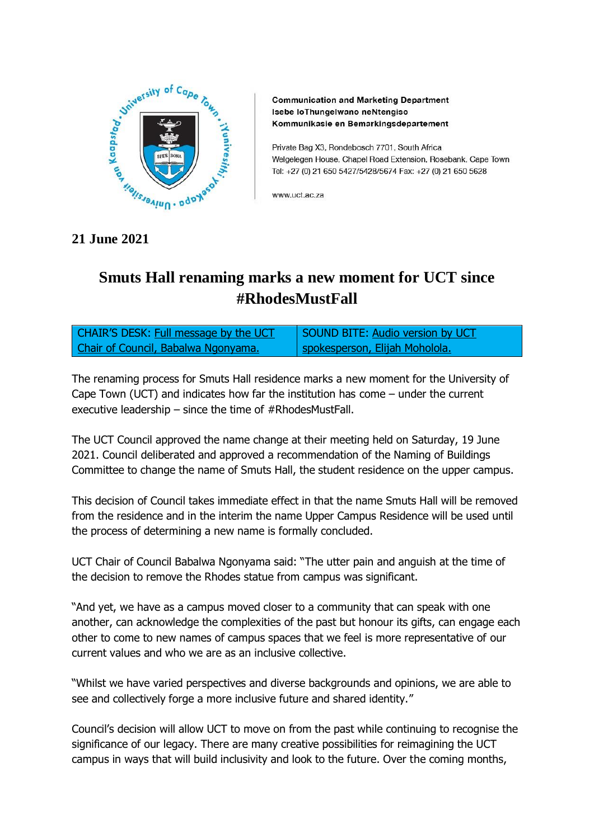

**Communication and Marketing Department** Isebe loThungelwano neNtengiso Kommunikasie en Bemarkingsdepartement

Private Bag X3, Rondebosch 7701, South Africa Welgelegen House, Chapel Road Extension, Rosebank, Cape Town Tel: +27 (0) 21 650 5427/5428/5674 Fax: +27 (0) 21 650 5628

www.uct.ac.za

## **21 June 2021**

## **Smuts Hall renaming marks a new moment for UCT since #RhodesMustFall**

| <b>CHAIR'S DESK: Full message by the UCT</b> | SOUND BITE: Audio version by UCT |
|----------------------------------------------|----------------------------------|
| Chair of Council, Babalwa Ngonyama.          | Spokesperson, Elijah Moholola.   |

The renaming process for Smuts Hall residence marks a new moment for the University of Cape Town (UCT) and indicates how far the institution has come – under the current executive leadership – since the time of #RhodesMustFall.

The UCT Council approved the name change at their meeting held on Saturday, 19 June 2021. Council deliberated and approved a recommendation of the Naming of Buildings Committee to change the name of Smuts Hall, the student residence on the upper campus.

This decision of Council takes immediate effect in that the name Smuts Hall will be removed from the residence and in the interim the name Upper Campus Residence will be used until the process of determining a new name is formally concluded.

UCT Chair of Council Babalwa Ngonyama said: "The utter pain and anguish at the time of the decision to remove the Rhodes statue from campus was significant.

"And yet, we have as a campus moved closer to a community that can speak with one another, can acknowledge the complexities of the past but honour its gifts, can engage each other to come to new names of campus spaces that we feel is more representative of our current values and who we are as an inclusive collective.

"Whilst we have varied perspectives and diverse backgrounds and opinions, we are able to see and collectively forge a more inclusive future and shared identity."

Council's decision will allow UCT to move on from the past while continuing to recognise the significance of our legacy. There are many creative possibilities for reimagining the UCT campus in ways that will build inclusivity and look to the future. Over the coming months,